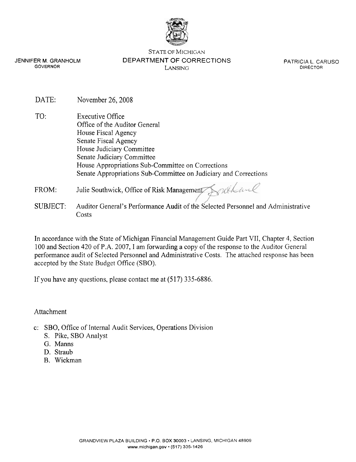

JENNIFER M. GRANHOLM GOVERNOR

STATE OF MICHIGAN DEPARTMENT OF CORRECTIONS LANSING

PATRICIA L. CARUSO DIRECTOR

- DATE: November 26, 2008
- TO: Executive Office Office of the Auditor General House Fiscal Agency Senate Fiscal Agency House Judiciary Committee Senate Judiciary Committee House Appropriations Sub-committee on Corrections Senate Appropriations Sub-committee on Judiciary and Corrections
- FROM: Julie Southwick, Office of Risk Management Southwill
- SUBJECT: Auditor General's Performance Audit of the Selected Personnel and Administrative Costs

In accordance with the State of Michigan Financial Management Guide Part VII, Chapter 4, Section 100 and Section 420 of P.A. 2007, I am forwarding a copy of the response to the Auditor General performance audit of Selected Personnel and Administrative Costs. The attached response has been accepted by the State Budget Office (SBO).

If you have any questions, please contact me at (517) 335-6886.

Attachment

- c: SBO, Office of Internal Audit Services, Operations Division
	- S. Pike, SBO Analyst
	- G. Manns
	- D. Straub
	- B. Wickman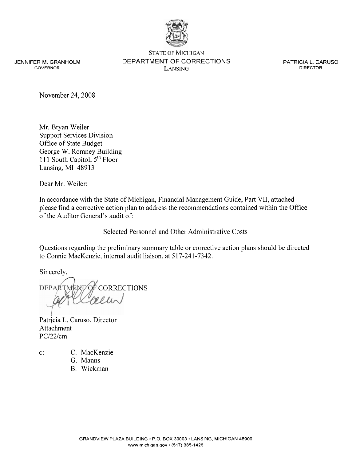

JENNIFER **M.** GRANHOLM GOVERNOR

STATE OF MICHIGAN DEPARTMENT OF CORRECTIONS LANSING

PATRICIA L. CARUSO DIRECTOR

November 24,2008

Mr. Bryan Weiler Support Services Division Office of State Budget George W. Romney Building 111 South Capitol,  $5^{th}$  Floor Lansing, MI 48913

Dear Mr. Weiler:

In accordance with the State of Michigan, Financial Management Guide, Part VII, attached please find a corrective action plan to address the recommendations contained within the Office of the Auditor General's audit of:

Selected Personnel and Other Administrative Costs

Questions regarding the preliminary summary table or corrective action plans should be directed to Connie MacKenzie, internal audit liaison, at **5** 17-241 -7342.

Sincerely,<br>DEPARTME **My OF CORRECTIONS** 

Patricia L. Caruso, Director Attachment PC/22/cm

- 
- c: C. MacKenzie
	- G. Manns
	- B. Wickman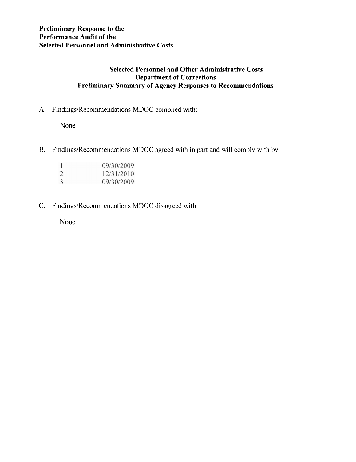# **Selected Personnel and Other Administrative Costs Department of Corrections Preliminary Summary of Agency Responses to Recommendations**

A. Findings/Recommendations MDOC complied with:

None

B. Findings/Recommendations MDOC agreed with in part and will comply with by:

| - 1 | 09/30/2009 |
|-----|------------|
| 2   | 12/31/2010 |
| 3   | 09/30/2009 |

C. Findings/Recommendations MDOC disagreed with:

None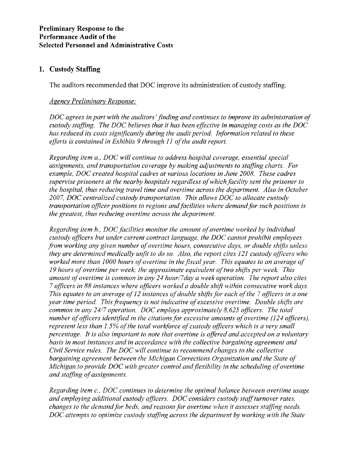## **Preliminary Response to the Performance Audit of the Selected Personnel and Administrative Costs**

# **1. Custody Staffing**

The auditors recommended that DOC improve its administration of custody staffing.

#### *Agency Preliminary Response:*

*DOC agrees in part with the auditors 'finding and continues to improve its administration of custody staffing. The DOC believes that it has been effective in managing costs as the DOC* has reduced its costs significantly during the audit period. Information related to these *efforts is contained in Exhibits 9 through 11 of the audit report.* 

*Regarding item a., DOC will continue to address hospital coverage, essential special assignments, and transportation coverage by making adjustments to staffing charts. For example, DOC created hospital cadres at various locations in June 2008. These cadres supervise prisoners at the nearby hospitals regardless of which facility sent the prisoner to the hospital, thus reducing travel time and overtime across the department. Also in October 2007, DOC centralized custody tmnsportation. This allows DOC to allocate custody transportation officer positions to regions and facilities where demand for such positions is the greatest, thus reducing overtime across the department.* 

*Regarding item b., DOC facilities monitor the amount of overtime worked by individual czlstody officers but under current contract language, the DOC cannot prohibit employees from working any given number of overtime hours, consecutive days, or double shifts unless they are determined medically unfit to do so. Also, the report cites 121 custody officers who worked more than 1000 hours of overtime in the fiscal year. This equates to an average of 19 hours of overtime per week; the approximate equivalent of two shifts per week. This amount of overtime is common in any 24 hour/7day a week operation. The report also cites 7 officers in 88 instances where oficers worked a double shift within consecutive work days. This equates to an average of 12 instances of double shifts for each of the 7 officers in a one year time period. This frequency is not indicative of excessive overtime. Double shifts are common in any 24/7 operation. DOC employs approximately 8.625 oficers. The total number of officers identified in the citations for excessive amounts of overtime (124 officers), represent less than 1.5% of the total workforce of custody officers which is a very small percentage. It is also important to note that overtime is offered and accepted on a voluntary basis in most instances and in accordance with the collective bargaining agreement and Civil Service rules. The DOC will continue to recommend changes to the collective bargaining agreement between the Michigan Corrections organization and the State of Michigan to provide DOC with greater control and flexibility in the scheduling of overtime and staffing of assignments.* 

*Regarding item c., DOC continues to determine the optimal balance between overtime usage and employing additional custody officers. DOC considers custody staff turnover rates, changes to the demand for beds, and reasons for overtime when it assesses staffing needs. DOC attempts to optimize custody stafing across the department by working with the State*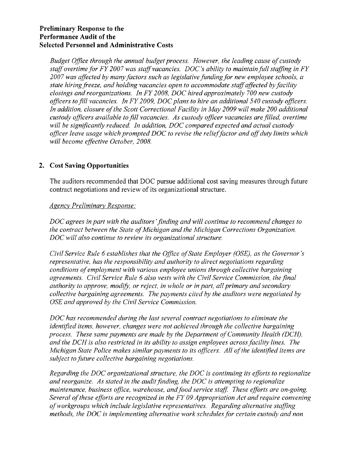#### **Preliminary Response to the Performance Audit of the Selected Personnel and Administrative Costs**

*Budget Office through the annual budget process. However, the leading cause of custody* staff overtime for FY 2007 was staff vacancies. DOC's ability to maintain full staffing in FY *2007 was affected by many factors such as legislative funding for new employee schools, a state hiring freeze, and holding vacancies open to accommodate staffaffected by facility closings and reorganizations. In FY 2008, DOC hired approximately 700 new custody officers to fill vacancies. In FY 2009, DOC plans to hire an additional 540 custody officers.*  In addition, closure of the Scott Correctional Facility in May 2009 will make 200 additional *custody officers available to fill vacancies. As custody officer vacancies are filled, overtime*  will be significantly reduced. In addition, DOC compared expected and actual custody officer leave usage which prompted DOC to revise the relief factor and off duty limits which *will become effective October, 2008.* 

# **2. Cost Saving Opportunities**

The auditors recommended that DOC pursue additional cost saving measures through future contract negotiations and review of its organizational structure.

## *Agency Preliminary Response:*

*DOC agrees in part with the auditors 'finding and will continue to recommend changes to the contract between the State of Michigan and the Michigan Corrections Organization. DOC will also continue to review its organizational structure.* 

*Civil Service Rule 6 establishes that the Office of State Employer (OSE), as the Governor's representative, has the responsibility and authority to direct negotiations regarding conditions of employment with various employee unions through collective bargaining agreements. Civil Service Rule 6 also vests with the Civil Service Commission, the final authority to approve, modrj: or reject, in whole or in part, all primary and secondary collective bargaining agreements. The payments cited by the auditors were negotiated by OSE and approved by the Civil Service Commission.* 

*DOC has recommended during the last several contract negotiations to eliminate the identified items, however, changes were not achieved through the collective bargaining process. These same payments are made by the Department of Community Health (DCH), and the DCH is also restricted in its ability to assign employees across facility lines. The Michigan State Police makes similar payments to its officers. All of the identrjed items are subject to future collective bargaining negotiations.* 

*Regarding the DOC organizational structure, the DOC is continuing its efforts to regionalize and reorganize. As stated in the audit finding, the DOC is attempting to regionalize maintenance, business office, warehouse, and food service staff. These efforts are on-going. Several of these efforts are recognized in the FY 09 Appropriation Act and require convening of workgroups which incl~lde legislative representatives. Regarding alternative staffing methods, the DOC is implementing alternative work schedules for certain custody and non*